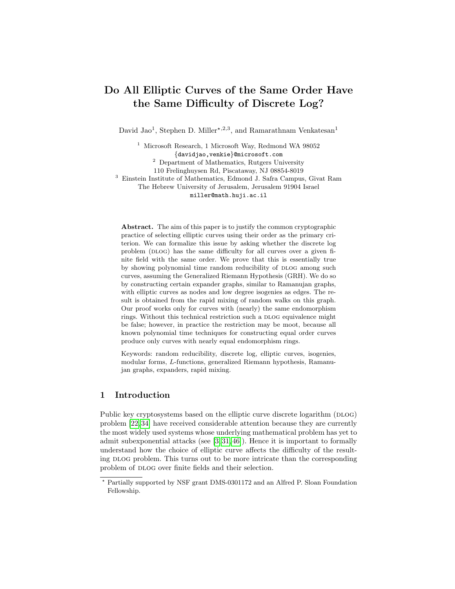# Do All Elliptic Curves of the Same Order Have the Same Difficulty of Discrete Log?

David Jao<sup>1</sup>, Stephen D. Miller<sup>\*,2,3</sup>, and Ramarathnam Venkatesan<sup>1</sup>

<sup>1</sup> Microsoft Research, 1 Microsoft Way, Redmond WA 98052 {davidjao,venkie}@microsoft.com <sup>2</sup> Department of Mathematics, Rutgers University 110 Frelinghuysen Rd, Piscataway, NJ 08854-8019 <sup>3</sup> Einstein Institute of Mathematics, Edmond J. Safra Campus, Givat Ram The Hebrew University of Jerusalem, Jerusalem 91904 Israel miller@math.huji.ac.il

Abstract. The aim of this paper is to justify the common cryptographic practice of selecting elliptic curves using their order as the primary criterion. We can formalize this issue by asking whether the discrete log problem (DLOG) has the same difficulty for all curves over a given finite field with the same order. We prove that this is essentially true by showing polynomial time random reducibility of DLOG among such curves, assuming the Generalized Riemann Hypothesis (GRH). We do so by constructing certain expander graphs, similar to Ramanujan graphs, with elliptic curves as nodes and low degree isogenies as edges. The result is obtained from the rapid mixing of random walks on this graph. Our proof works only for curves with (nearly) the same endomorphism rings. Without this technical restriction such a DLOG equivalence might be false; however, in practice the restriction may be moot, because all known polynomial time techniques for constructing equal order curves produce only curves with nearly equal endomorphism rings.

Keywords: random reducibility, discrete log, elliptic curves, isogenies, modular forms, L-functions, generalized Riemann hypothesis, Ramanujan graphs, expanders, rapid mixing.

# 1 Introduction

Public key cryptosystems based on the elliptic curve discrete logarithm (DLOG) problem [\[22,](#page-16-0) [34\]](#page-17-0) have received considerable attention because they are currently the most widely used systems whose underlying mathematical problem has yet to admit subexponential attacks (see [\[3,](#page-15-0) [31,](#page-17-1) [46\]](#page-17-2)). Hence it is important to formally understand how the choice of elliptic curve affects the difficulty of the resulting DLOG problem. This turns out to be more intricate than the corresponding problem of DLOG over finite fields and their selection.

<sup>?</sup> Partially supported by NSF grant DMS-0301172 and an Alfred P. Sloan Foundation Fellowship.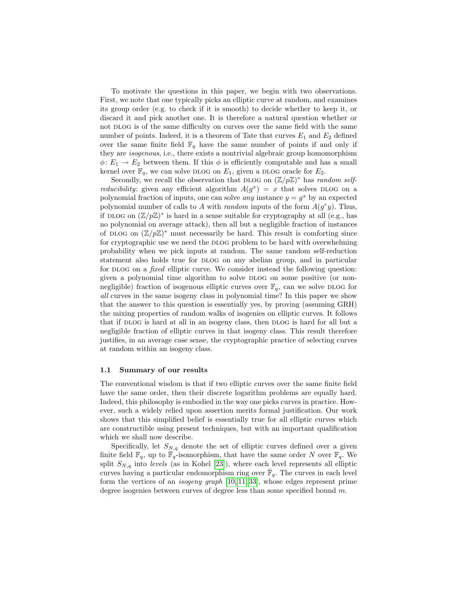To motivate the questions in this paper, we begin with two observations. First, we note that one typically picks an elliptic curve at random, and examines its group order (e.g. to check if it is smooth) to decide whether to keep it, or discard it and pick another one. It is therefore a natural question whether or not DLOG is of the same difficulty on curves over the same field with the same number of points. Indeed, it is a theorem of Tate that curves  $E_1$  and  $E_2$  defined over the same finite field  $\mathbb{F}_q$  have the same number of points if and only if they are isogenous, i.e., there exists a nontrivial algebraic group homomorphism  $\phi: E_1 \to E_2$  between them. If this  $\phi$  is efficiently computable and has a small kernel over  $\mathbb{F}_q$ , we can solve DLOG on  $E_1$ , given a DLOG oracle for  $E_2$ .

Secondly, we recall the observation that DLOG on  $(\mathbb{Z}/p\mathbb{Z})^*$  has *random selfreducibility*: given any efficient algorithm  $A(g^x) = x$  that solves DLOG on a polynomial fraction of inputs, one can solve *any* instance  $y = g^x$  by an expected polynomial number of calls to A with random inputs of the form  $A(g<sup>r</sup>y)$ . Thus, if DLOG on  $(\mathbb{Z}/p\mathbb{Z})^*$  is hard in a sense suitable for cryptography at all (e.g., has no polynomial on average attack), then all but a negligible fraction of instances of DLOG on  $(\mathbb{Z}/p\mathbb{Z})^*$  must necessarily be hard. This result is comforting since for cryptographic use we need the DLOG problem to be hard with overwhelming probability when we pick inputs at random. The same random self-reduction statement also holds true for DLOG on any abelian group, and in particular for  $DLOG$  on a *fixed* elliptic curve. We consider instead the following question: given a polynomial time algorithm to solve DLOG on some positive (or nonnegligible) fraction of isogenous elliptic curves over  $\mathbb{F}_q$ , can we solve DLOG for all curves in the same isogeny class in polynomial time? In this paper we show that the answer to this question is essentially yes, by proving (assuming GRH) the mixing properties of random walks of isogenies on elliptic curves. It follows that if DLOG is hard at all in an isogeny class, then DLOG is hard for all but a negligible fraction of elliptic curves in that isogeny class. This result therefore justifies, in an average case sense, the cryptographic practice of selecting curves at random within an isogeny class.

# <span id="page-1-0"></span>1.1 Summary of our results

The conventional wisdom is that if two elliptic curves over the same finite field have the same order, then their discrete logarithm problems are equally hard. Indeed, this philosophy is embodied in the way one picks curves in practice. However, such a widely relied upon assertion merits formal justification. Our work shows that this simplified belief is essentially true for all elliptic curves which are constructible using present techniques, but with an important qualification which we shall now describe.

<span id="page-1-1"></span>Specifically, let  $S_{N,q}$  denote the set of elliptic curves defined over a given finite field  $\mathbb{F}_q$ , up to  $\overline{\mathbb{F}}_q^2$ -isomorphism, that have the same order N over  $\mathbb{F}_q$ . We split  $S_{N,q}$  into levels (as in Kohel [\[23\]](#page-16-1)), where each level represents all elliptic curves having a particular endomorphism ring over  $\overline{\mathbb{F}}_q$ . The curves in each level form the vertices of an isogeny graph [\[10,](#page-16-2) [11,](#page-16-3) [33\]](#page-17-3), whose edges represent prime degree isogenies between curves of degree less than some specified bound m.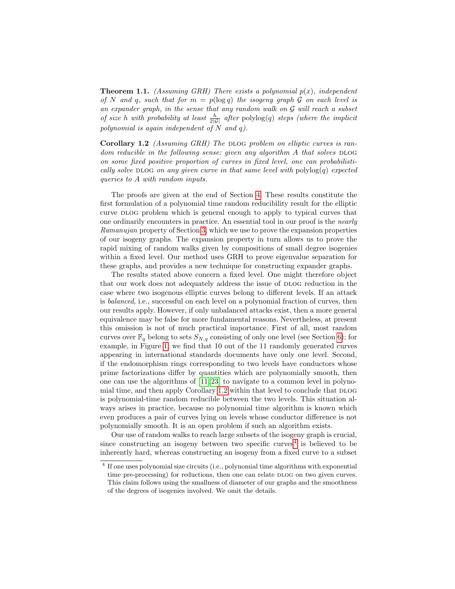**Theorem 1.1.** (Assuming GRH) There exists a polynomial  $p(x)$ , independent of N and q, such that for  $m = p(\log q)$  the isogeny graph G on each level is an expander graph, in the sense that any random walk on G will reach a subset of size h with probability at least  $\frac{h}{2|G|}$  after polylog(q) steps (where the implicit polynomial is again independent of  $N$  and  $q$ ).

<span id="page-2-0"></span>Corollary 1.2 (Assuming GRH) The DLOG problem on elliptic curves is random reducible in the following sense: given any algorithm  $A$  that solves DLOG on some fixed positive proportion of curves in fixed level, one can probabilistically solve DLOG on any given curve in that same level with  $\text{polylog}(q)$  expected queries to A with random inputs.

The proofs are given at the end of Section [4.](#page-9-0) These results constitute the first formulation of a polynomial time random reducibility result for the elliptic curve DLOG problem which is general enough to apply to typical curves that one ordinarily encounters in practice. An essential tool in our proof is the nearly Ramanujan property of Section [3,](#page-7-0) which we use to prove the expansion properties of our isogeny graphs. The expansion property in turn allows us to prove the rapid mixing of random walks given by compositions of small degree isogenies within a fixed level. Our method uses GRH to prove eigenvalue separation for these graphs, and provides a new technique for constructing expander graphs.

The results stated above concern a fixed level. One might therefore object that our work does not adequately address the issue of DLOG reduction in the case where two isogenous elliptic curves belong to different levels. If an attack is balanced, i.e., successful on each level on a polynomial fraction of curves, then our results apply. However, if only unbalanced attacks exist, then a more general equivalence may be false for more fundamental reasons. Nevertheless, at present this omission is not of much practical importance. First of all, most random curves over  $\mathbb{F}_q$  belong to sets  $S_{N,q}$  consisting of only one level (see Section [6\)](#page-14-0); for example, in Figure [1,](#page-3-0) we find that 10 out of the 11 randomly generated curves appearing in international standards documents have only one level. Second, if the endomorphism rings corresponding to two levels have conductors whose prime factorizations differ by quantities which are polynomially smooth, then one can use the algorithms of [\[11,](#page-16-3) [23\]](#page-16-1) to navigate to a common level in polynomial time, and then apply Corollary  $1.2$  within that level to conclude that  $DLOG$ is polynomial-time random reducible between the two levels. This situation always arises in practice, because no polynomial time algorithm is known which even produces a pair of curves lying on levels whose conductor difference is not polynomially smooth. It is an open problem if such an algorithm exists.

Our use of random walks to reach large subsets of the isogeny graph is crucial, since constructing an isogeny between two specific curves<sup>[4](#page-2-1)</sup> is believed to be inherently hard, whereas constructing an isogeny from a fixed curve to a subset

<span id="page-2-1"></span><sup>&</sup>lt;sup>4</sup> If one uses polynomial size circuits (i.e., polynomial time algorithms with exponential time pre-processing) for reductions, then one can relate DLOG on two given curves. This claim follows using the smallness of diameter of our graphs and the smoothness of the degrees of isogenies involved. We omit the details.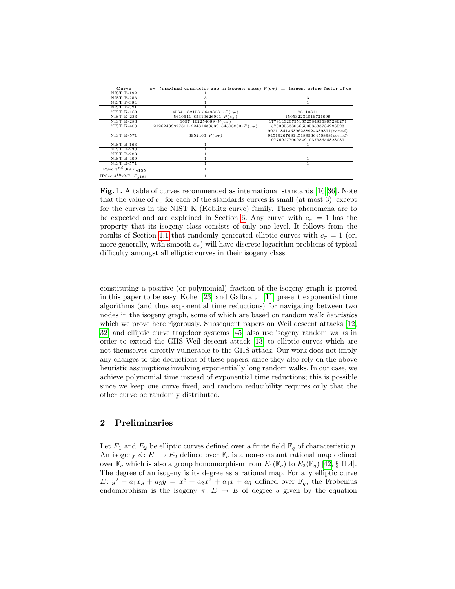| Curve                                 | (maximal conductor gap in isogeny class) $ P(c_{\pi}) $<br>$\mathbf{c}_{\pi}$ | largest prime factor of $c_{\pi}$<br>$=$ |
|---------------------------------------|-------------------------------------------------------------------------------|------------------------------------------|
| NIST P-192                            |                                                                               |                                          |
| <b>NIST P-256</b>                     | 3                                                                             | з                                        |
| <b>NIST P-384</b>                     |                                                                               |                                          |
| <b>NIST P-521</b>                     |                                                                               |                                          |
| <b>NIST K-163</b>                     | $45641 \cdot 82153 \cdot 56498081 \cdot P(c_{\pi})$                           | 86110311                                 |
| NIST K-233                            | $5610641 \cdot 85310626991 \cdot P(c_{\pi})$                                  | 150532234816721999                       |
| NIST K-283                            | $1697 \cdot 162254089 \cdot P(c_{\pi})$                                       | 1779143207551652584836995286271          |
| NIST K-409                            | $21262439877311 \cdot 22431439539154506863 \cdot P(c_{\pi})$                  | 57030553306655053533734286593            |
|                                       |                                                                               | 9021184135396238924389891 (contd)        |
| <b>NIST K-571</b>                     | 3952463 $P(c_{\pi})$                                                          | 9451926768145189936450898(contd)         |
|                                       |                                                                               | 07769277009849103733654828039            |
| NIST B-163                            |                                                                               |                                          |
| NIST B-233                            |                                                                               |                                          |
| NIST B-283                            |                                                                               |                                          |
| <b>NIST B-409</b>                     |                                                                               |                                          |
| NIST B-571                            |                                                                               |                                          |
| IPSec $3^{rd}$ OG, $F_{2155}$         |                                                                               |                                          |
| IPSec $4^{th}\overline{OG}, F_{2185}$ |                                                                               |                                          |

<span id="page-3-0"></span>Fig. 1. A table of curves recommended as international standards [\[16,](#page-16-4) [36\]](#page-17-4). Note that the value of  $c_{\pi}$  for each of the standards curves is small (at most 3), except for the curves in the NIST K (Koblitz curve) family. These phenomena are to be expected and are explained in Section [6.](#page-14-0) Any curve with  $c_{\pi} = 1$  has the property that its isogeny class consists of only one level. It follows from the results of Section [1.1](#page-1-0) that randomly generated elliptic curves with  $c_{\pi} = 1$  (or, more generally, with smooth  $c_{\pi}$ ) will have discrete logarithm problems of typical difficulty amongst all elliptic curves in their isogeny class.

constituting a positive (or polynomial) fraction of the isogeny graph is proved in this paper to be easy. Kohel [\[23\]](#page-16-1) and Galbraith [\[11\]](#page-16-3) present exponential time algorithms (and thus exponential time reductions) for navigating between two nodes in the isogeny graph, some of which are based on random walk heuristics which we prove here rigorously. Subsequent papers on Weil descent attacks [\[12,](#page-16-5) [32\]](#page-17-5) and elliptic curve trapdoor systems [\[45\]](#page-17-6) also use isogeny random walks in order to extend the GHS Weil descent attack [\[13\]](#page-16-6) to elliptic curves which are not themselves directly vulnerable to the GHS attack. Our work does not imply any changes to the deductions of these papers, since they also rely on the above heuristic assumptions involving exponentially long random walks. In our case, we achieve polynomial time instead of exponential time reductions; this is possible since we keep one curve fixed, and random reducibility requires only that the other curve be randomly distributed.

# <span id="page-3-1"></span>2 Preliminaries

Let  $E_1$  and  $E_2$  be elliptic curves defined over a finite field  $\mathbb{F}_q$  of characteristic p. An isogeny  $\phi: E_1 \to E_2$  defined over  $\mathbb{F}_q$  is a non-constant rational map defined over  $\mathbb{F}_q$  which is also a group homomorphism from  $E_1(\mathbb{F}_q)$  to  $E_2(\mathbb{F}_q)$  [\[42,](#page-17-7) §III.4]. The degree of an isogeny is its degree as a rational map. For any elliptic curve  $E: y^2 + a_1xy + a_3y = x^3 + a_2x^2 + a_4x + a_6$  defined over  $\mathbb{F}_q$ , the Frobenius endomorphism is the isogeny  $\pi: E \to E$  of degree q given by the equation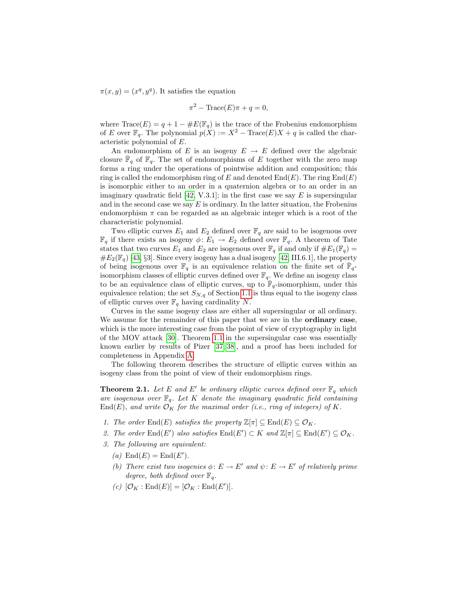$\pi(x, y) = (x^q, y^q)$ . It satisfies the equation

$$
\pi^2 - \text{Trace}(E)\pi + q = 0,
$$

where  $Trace(E) = q + 1 - \#E(\mathbb{F}_q)$  is the trace of the Frobenius endomorphism of E over  $\mathbb{F}_q$ . The polynomial  $p(X) := X^2 - \text{Trace}(E)X + q$  is called the characteristic polynomial of E.

An endomorphism of E is an isogeny  $E \to E$  defined over the algebraic closure  $\overline{\mathbb{F}}_q$  of  $\mathbb{F}_q$ . The set of endomorphisms of E together with the zero map forms a ring under the operations of pointwise addition and composition; this ring is called the endomorphism ring of E and denoted  $\text{End}(E)$ . The ring  $\text{End}(E)$ is isomorphic either to an order in a quaternion algebra or to an order in an imaginary quadratic field [\[42,](#page-17-7) V.3.1]; in the first case we say  $E$  is supersingular and in the second case we say  $E$  is ordinary. In the latter situation, the Frobenius endomorphism  $\pi$  can be regarded as an algebraic integer which is a root of the characteristic polynomial.

Two elliptic curves  $E_1$  and  $E_2$  defined over  $\mathbb{F}_q$  are said to be isogenous over  $\mathbb{F}_q$  if there exists an isogeny  $\phi: E_1 \to E_2$  defined over  $\mathbb{F}_q$ . A theorem of Tate states that two curves  $E_1$  and  $E_2$  are isogenous over  $\mathbb{F}_q$  if and only if  $\#E_1(\mathbb{F}_q)$  =  $\#E_2(\mathbb{F}_q)$  [\[43,](#page-17-8) §3]. Since every isogeny has a dual isogeny [\[42,](#page-17-7) III.6.1], the property of being isogenous over  $\mathbb{F}_q$  is an equivalence relation on the finite set of  $\mathbb{F}_q$ . isomorphism classes of elliptic curves defined over  $\mathbb{F}_q$ . We define an isogeny class to be an equivalence class of elliptic curves, up to  $\mathbb{F}_q$ -isomorphism, under this equivalence relation; the set  $S_{N,q}$  of Section [1.1](#page-1-0) is thus equal to the isogeny class of elliptic curves over  $\mathbb{F}_q$  having cardinality N.

Curves in the same isogeny class are either all supersingular or all ordinary. We assume for the remainder of this paper that we are in the **ordinary case**, which is the more interesting case from the point of view of cryptography in light of the MOV attack [\[30\]](#page-16-7). Theorem [1.1](#page-1-1) in the supersingular case was essentially known earlier by results of Pizer [\[37,](#page-17-9) [38\]](#page-17-10), and a proof has been included for completeness in Appendix [A.](#page-17-11)

The following theorem describes the structure of elliptic curves within an isogeny class from the point of view of their endomorphism rings.

**Theorem 2.1.** Let E and E' be ordinary elliptic curves defined over  $\mathbb{F}_q$  which are isogenous over  $\mathbb{F}_q$ . Let K denote the imaginary quadratic field containing End(E), and write  $\mathcal{O}_K$  for the maximal order (i.e., ring of integers) of K.

- 1. The order  $\text{End}(E)$  satisfies the property  $\mathbb{Z}[\pi] \subset \text{End}(E) \subset \mathcal{O}_K$ .
- 2. The order  $\text{End}(E')$  also satisfies  $\text{End}(E') \subset K$  and  $\mathbb{Z}[\pi] \subseteq \text{End}(E') \subseteq \mathcal{O}_K$ .
- 3. The following are equivalent:
	- (a)  $\text{End}(E) = \text{End}(E').$
	- (b) There exist two isogenies  $\phi: E \to E'$  and  $\psi: E \to E'$  of relatively prime degree, both defined over  $\mathbb{F}_q$ .
	- (c)  $[\mathcal{O}_K : \text{End}(E)] = [\mathcal{O}_K : \text{End}(E')].$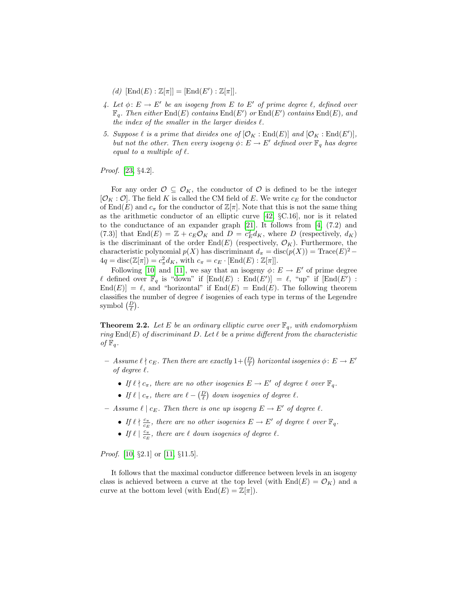(d)  $[\text{End}(E) : \mathbb{Z}[\pi]] = [\text{End}(E') : \mathbb{Z}[\pi]].$ 

- 4. Let  $\phi: E \to E'$  be an isogeny from E to E' of prime degree  $\ell$ , defined over  $\mathbb{F}_q$ . Then either  $\text{End}(E)$  contains  $\text{End}(E')$  or  $\text{End}(E')$  contains  $\text{End}(E)$ , and the index of the smaller in the larger divides  $\ell$ .
- 5. Suppose  $\ell$  is a prime that divides one of  $[O_K:End(E)]$  and  $[O_K:End(E')],$ but not the other. Then every isogeny  $\phi: E \to E'$  defined over  $\mathbb{F}_q$  has degree equal to a multiple of  $\ell$ .

Proof. [\[23,](#page-16-1) §4.2].

For any order  $\mathcal{O} \subseteq \mathcal{O}_K$ , the conductor of  $\mathcal{O}$  is defined to be the integer  $[O_K: \mathcal{O}]$ . The field K is called the CM field of E. We write  $c_E$  for the conductor of End(E) and  $c_{\pi}$  for the conductor of  $\mathbb{Z}[\pi]$ . Note that this is not the same thing as the arithmetic conductor of an elliptic curve [\[42,](#page-17-7) §C.16], nor is it related to the conductance of an expander graph [\[21\]](#page-16-8). It follows from [\[4,](#page-15-1) (7.2) and (7.3)] that End(E) =  $\mathbb{Z} + c_E \mathcal{O}_K$  and  $D = c_E^2 d_K$ , where D (respectively,  $d_K$ ) is the discriminant of the order  $\text{End}(E)$  (respectively,  $\mathcal{O}_K$ ). Furthermore, the characteristic polynomial  $p(X)$  has discriminant  $d_{\pi} = \text{disc}(p(X)) = \text{Trace}(E)^2 4q = \text{disc}(\mathbb{Z}[\pi]) = c_{\pi}^2 d_K$ , with  $c_{\pi} = c_E \cdot [\text{End}(E) : \mathbb{Z}[\pi]].$ 

Following [\[10\]](#page-16-2) and [\[11\]](#page-16-3), we say that an isogeny  $\phi: E \to E'$  of prime degree  $\ell$  defined over  $\mathbb{F}_q$  is "down" if  $[\text{End}(E) : \text{End}(E')] = \ell$ , "up" if  $[\text{End}(E')]$ :  $\text{End}(E) = \ell$ , and "horizontal" if  $\text{End}(E) = \text{End}(E)$ . The following theorem classifies the number of degree  $\ell$  isogenies of each type in terms of the Legendre symbol  $\left(\frac{D}{\ell}\right)$ .

<span id="page-5-0"></span>**Theorem 2.2.** Let E be an ordinary elliptic curve over  $\mathbb{F}_q$ , with endomorphism ring  $\text{End}(E)$  of discriminant D. Let  $\ell$  be a prime different from the characteristic of  $\mathbb{F}_q$ .

- $-$  Assume  $\ell \nmid c_E.$  Then there are exactly  $1 + (\frac{D}{\ell})$  horizontal isogenies  $\phi \colon E \to E'$ of degree  $\ell$ .
	- If  $\ell \nmid c_{\pi}$ , there are no other isogenies  $E \to E'$  of degree  $\ell$  over  $\mathbb{F}_q$ .
	- If  $\ell \mid c_{\pi}$ , there are  $\ell \left(\frac{D}{\ell}\right)$  down isogenies of degree  $\ell$ .

– Assume  $\ell \mid c_E$ . Then there is one up isogeny  $E \to E'$  of degree  $\ell$ .

- If  $\ell \nmid \frac{c_{\pi}}{c_E}$ , there are no other isogenies  $E \to E'$  of degree  $\ell$  over  $\mathbb{F}_q$ .
- If  $\ell \mid \frac{c_{\pi}}{c_E}$ , there are  $\ell$  down isogenies of degree  $\ell$ .

*Proof.* [\[10,](#page-16-2) §2.1] or [\[11,](#page-16-3) §11.5].

It follows that the maximal conductor difference between levels in an isogeny class is achieved between a curve at the top level (with  $End(E) = \mathcal{O}_K$ ) and a curve at the bottom level (with  $\text{End}(E) = \mathbb{Z}[\pi]).$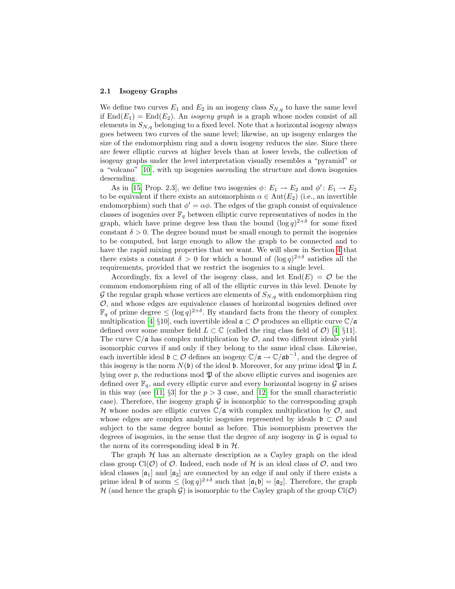#### <span id="page-6-0"></span>2.1 Isogeny Graphs

We define two curves  $E_1$  and  $E_2$  in an isogeny class  $S_{N,q}$  to have the same level if  $\text{End}(E_1) = \text{End}(E_2)$ . An *isogeny graph* is a graph whose nodes consist of all elements in  $S_{N,q}$  belonging to a fixed level. Note that a horizontal isogeny always goes between two curves of the same level; likewise, an up isogeny enlarges the size of the endomorphism ring and a down isogeny reduces the size. Since there are fewer elliptic curves at higher levels than at lower levels, the collection of isogeny graphs under the level interpretation visually resembles a "pyramid" or a "volcano" [\[10\]](#page-16-2), with up isogenies ascending the structure and down isogenies descending.

As in [\[15,](#page-16-9) Prop. 2.3], we define two isogenies  $\phi: E_1 \to E_2$  and  $\phi': E_1 \to E_2$ to be equivalent if there exists an automorphism  $\alpha \in Aut(E_2)$  (i.e., an invertible endomorphism) such that  $\phi' = \alpha \phi$ . The edges of the graph consist of equivalence classes of isogenies over  $\mathbb{F}_q$  between elliptic curve representatives of nodes in the graph, which have prime degree less than the bound  $(\log q)^{2+\delta}$  for some fixed constant  $\delta > 0$ . The degree bound must be small enough to permit the isogenies to be computed, but large enough to allow the graph to be connected and to have the rapid mixing properties that we want. We will show in Section [4](#page-9-0) that there exists a constant  $\delta > 0$  for which a bound of  $(\log q)^{2+\delta}$  satisfies all the requirements, provided that we restrict the isogenies to a single level.

Accordingly, fix a level of the isogeny class, and let  $End(E) = \mathcal{O}$  be the common endomorphism ring of all of the elliptic curves in this level. Denote by G the regular graph whose vertices are elements of  $S_{N,q}$  with endomorphism ring O, and whose edges are equivalence classes of horizontal isogenies defined over  $\mathbb{F}_q$  of prime degree  $\leq (\log q)^{2+\delta}$ . By standard facts from the theory of complex multiplication [\[4,](#page-15-1) §10], each invertible ideal  $\mathfrak{a} \subset \mathcal{O}$  produces an elliptic curve  $\mathbb{C}/\mathfrak{a}$ defined over some number field  $L \subset \mathbb{C}$  (called the ring class field of  $\mathcal{O}$ ) [\[4,](#page-15-1) §11]. The curve  $\mathbb{C}/\mathfrak{a}$  has complex multiplication by  $\mathcal{O}$ , and two different ideals yield isomorphic curves if and only if they belong to the same ideal class. Likewise, each invertible ideal  $\mathfrak{b} \subset \mathcal{O}$  defines an isogeny  $\mathbb{C}/\mathfrak{a} \to \mathbb{C}/\mathfrak{ab}^{-1}$ , and the degree of this isogeny is the norm  $N(\mathfrak{b})$  of the ideal  $\mathfrak{b}$ . Moreover, for any prime ideal  $\mathfrak{P}$  in L lying over p, the reductions mod  $\mathfrak P$  of the above elliptic curves and isogenies are defined over  $\mathbb{F}_q$ , and every elliptic curve and every horizontal isogeny in  $\mathcal G$  arises in this way (see [\[11,](#page-16-3)  $\S3$ ] for the  $p > 3$  case, and [\[12\]](#page-16-5) for the small characteristic case). Therefore, the isogeny graph  $G$  is isomorphic to the corresponding graph H whose nodes are elliptic curves  $\mathbb{C}/\mathfrak{a}$  with complex multiplication by  $\mathcal{O}$ , and whose edges are complex analytic isogenies represented by ideals  $\mathfrak{b} \subset \mathcal{O}$  and subject to the same degree bound as before. This isomorphism preserves the degrees of isogenies, in the sense that the degree of any isogeny in  $\mathcal G$  is equal to the norm of its corresponding ideal  $\mathfrak b$  in  $\mathcal H$ .

The graph  $H$  has an alternate description as a Cayley graph on the ideal class group  $Cl(\mathcal{O})$  of  $\mathcal{O}$ . Indeed, each node of  $\mathcal{H}$  is an ideal class of  $\mathcal{O}$ , and two ideal classes  $[\mathfrak{a}_1]$  and  $[\mathfrak{a}_2]$  are connected by an edge if and only if there exists a prime ideal b of norm  $\leq (\log q)^{2+\delta}$  such that  $[\mathfrak{a}_1 \mathfrak{b}] = [\mathfrak{a}_2]$ . Therefore, the graph H (and hence the graph G) is isomorphic to the Cayley graph of the group  $Cl(O)$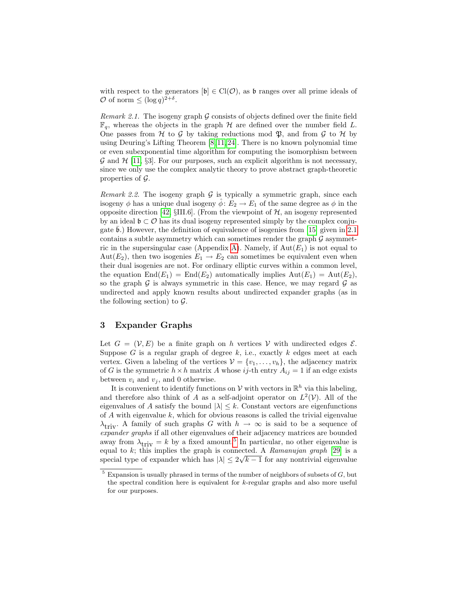with respect to the generators  $[\mathfrak{b}] \in \mathrm{Cl}(\mathcal{O})$ , as  $\mathfrak{b}$  ranges over all prime ideals of  $\mathcal{O}$  of norm  $\leq (\log q)^{2+\delta}$ .

Remark 2.1. The isogeny graph  $G$  consists of objects defined over the finite field  $\mathbb{F}_q$ , whereas the objects in the graph H are defined over the number field L. One passes from H to G by taking reductions mod  $\mathfrak{P}$ , and from G to H by using Deuring's Lifting Theorem [\[8,](#page-15-2) [11,](#page-16-3) [24\]](#page-16-10). There is no known polynomial time or even subexponential time algorithm for computing the isomorphism between G and  $\mathcal{H}$  [\[11,](#page-16-3) §3]. For our purposes, such an explicit algorithm is not necessary, since we only use the complex analytic theory to prove abstract graph-theoretic properties of  $\mathcal{G}$ .

Remark 2.2. The isogeny graph  $G$  is typically a symmetric graph, since each isogeny  $\phi$  has a unique dual isogeny  $\phi: E_2 \to E_1$  of the same degree as  $\phi$  in the opposite direction [\[42,](#page-17-7)  $\S$ III.6]. (From the viewpoint of  $H$ , an isogeny represented by an ideal  $\mathfrak{b} \subset \mathcal{O}$  has its dual isogeny represented simply by the complex conjugate  $\mathfrak{b}$ .) However, the definition of equivalence of isogenies from [\[15\]](#page-16-9) given in [2.1](#page-6-0) contains a subtle asymmetry which can sometimes render the graph  $\mathcal G$  asymmet-ric in the supersingular case (Appendix [A\)](#page-17-11). Namely, if  $Aut(E_1)$  is not equal to Aut $(E_2)$ , then two isogenies  $E_1 \rightarrow E_2$  can sometimes be equivalent even when their dual isogenies are not. For ordinary elliptic curves within a common level, the equation  $\text{End}(E_1) = \text{End}(E_2)$  automatically implies  $\text{Aut}(E_1) = \text{Aut}(E_2)$ , so the graph  $\mathcal G$  is always symmetric in this case. Hence, we may regard  $\mathcal G$  as undirected and apply known results about undirected expander graphs (as in the following section) to  $\mathcal{G}$ .

## <span id="page-7-0"></span>3 Expander Graphs

Let  $G = (\mathcal{V}, E)$  be a finite graph on h vertices V with undirected edges  $\mathcal{E}$ . Suppose G is a regular graph of degree  $k$ , i.e., exactly k edges meet at each vertex. Given a labeling of the vertices  $V = \{v_1, \ldots, v_h\}$ , the adjacency matrix of G is the symmetric  $h \times h$  matrix A whose ij-th entry  $A_{ij} = 1$  if an edge exists between  $v_i$  and  $v_j$ , and 0 otherwise.

It is convenient to identify functions on  $V$  with vectors in  $\mathbb{R}^h$  via this labeling, and therefore also think of A as a self-adjoint operator on  $L^2(V)$ . All of the eigenvalues of A satisfy the bound  $|\lambda| \leq k$ . Constant vectors are eigenfunctions of  $A$  with eigenvalue  $k$ , which for obvious reasons is called the trivial eigenvalue  $\lambda_{\text{triv}}$ . A family of such graphs G with  $h \to \infty$  is said to be a sequence of expander graphs if all other eigenvalues of their adjacency matrices are bounded away from  $\lambda_{\text{triv}} = k$  by a fixed amount.<sup>[5](#page-7-1)</sup> In particular, no other eigenvalue is equal to k; this implies the graph is connected. A Ramanujan graph  $[29]$  is a special type of expander which has  $|\lambda| \leq 2\sqrt{k-1}$  for any nontrivial eigenvalue

<span id="page-7-1"></span> $5$  Expansion is usually phrased in terms of the number of neighbors of subsets of  $G$ , but the spectral condition here is equivalent for  $k$ -regular graphs and also more useful for our purposes.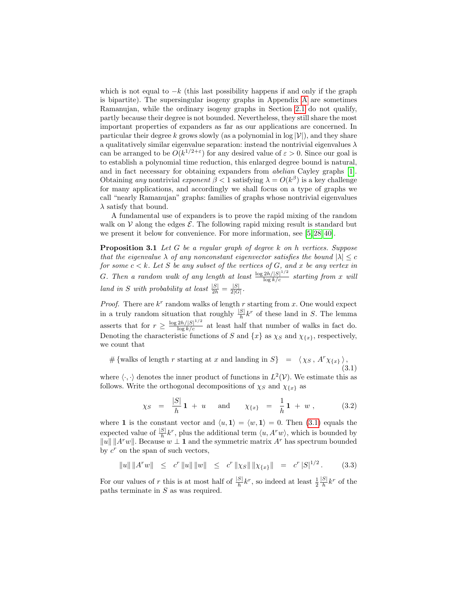which is not equal to  $-k$  (this last possibility happens if and only if the graph is bipartite). The supersingular isogeny graphs in Appendix [A](#page-17-11) are sometimes Ramanujan, while the ordinary isogeny graphs in Section [2.1](#page-6-0) do not qualify, partly because their degree is not bounded. Nevertheless, they still share the most important properties of expanders as far as our applications are concerned. In particular their degree k grows slowly (as a polynomial in  $log |\mathcal{V}|$ ), and they share a qualitatively similar eigenvalue separation: instead the nontrivial eigenvalues  $\lambda$ can be arranged to be  $O(k^{1/2+\epsilon})$  for any desired value of  $\epsilon > 0$ . Since our goal is to establish a polynomial time reduction, this enlarged degree bound is natural, and in fact necessary for obtaining expanders from abelian Cayley graphs [\[1\]](#page-15-3). Obtaining any nontrivial exponent  $\beta < 1$  satisfying  $\lambda = O(k^{\beta})$  is a key challenge for many applications, and accordingly we shall focus on a type of graphs we call "nearly Ramanujan" graphs: families of graphs whose nontrivial eigenvalues  $\lambda$  satisfy that bound.

A fundamental use of expanders is to prove the rapid mixing of the random walk on  $V$  along the edges  $\mathcal{E}$ . The following rapid mixing result is standard but we present it below for convenience. For more information, see [\[5,](#page-15-4) [28,](#page-16-12) [40\]](#page-17-12).

<span id="page-8-1"></span>**Proposition 3.1** Let G be a regular graph of degree k on h vertices. Suppose that the eigenvalue  $\lambda$  of any nonconstant eigenvector satisfies the bound  $|\lambda| \leq c$ for some  $c < k$ . Let S be any subset of the vertices of G, and x be any vertex in G. Then a random walk of any length at least  $\frac{\log 2h/|S|^{1/2}}{\log k/c}$  starting from x will land in S with probability at least  $\frac{|S|}{2h} = \frac{|S|}{2|G}$  $\frac{|S|}{2|G|}$ .

*Proof.* There are  $k^r$  random walks of length r starting from x. One would expect in a truly random situation that roughly  $\frac{|S|}{h}k^r$  of these land in S. The lemma asserts that for  $r \geq \frac{\log 2h/|S|^{1/2}}{\log k/c}$  at least half that number of walks in fact do. Denoting the characteristic functions of S and  $\{x\}$  as  $\chi_S$  and  $\chi_{\{x\}}$ , respectively, we count that

<span id="page-8-0"></span># {walks of length r starting at x and landing in  $S$ } =  $\langle \chi_S , A^r \chi_{\{x\}} \rangle$ , (3.1)

where  $\langle \cdot, \cdot \rangle$  denotes the inner product of functions in  $L^2(\mathcal{V})$ . We estimate this as follows. Write the orthogonal decompositions of  $\chi_S$  and  $\chi_{\lbrace x \rbrace}$  as

$$
\chi_S = \frac{|S|}{h} \mathbf{1} + u \quad \text{and} \quad \chi_{\{x\}} = \frac{1}{h} \mathbf{1} + w ,
$$
\n(3.2)

where 1 is the constant vector and  $\langle u, 1 \rangle = \langle w, 1 \rangle = 0$ . Then [\(3.1\)](#page-8-0) equals the expected value of  $\frac{|S|}{h}k^r$ , plus the additional term  $\langle u, A^rw \rangle$ , which is bounded by  $||u|| ||A^r w||$ . Because  $w \perp \mathbf{1}$  and the symmetric matrix A<sup>r</sup> has spectrum bounded by  $c^r$  on the span of such vectors,

$$
||u|| ||Ar w|| \leq cr ||u|| ||w|| \leq cr ||\chi_{S}|| ||\chi_{\{x\}}|| = cr |S|^{1/2}. \qquad (3.3)
$$

For our values of r this is at most half of  $\frac{|S|}{h}k^r$ , so indeed at least  $\frac{1}{2}$  $|S|$  $\frac{S}{h}k^r$  of the paths terminate in S as was required.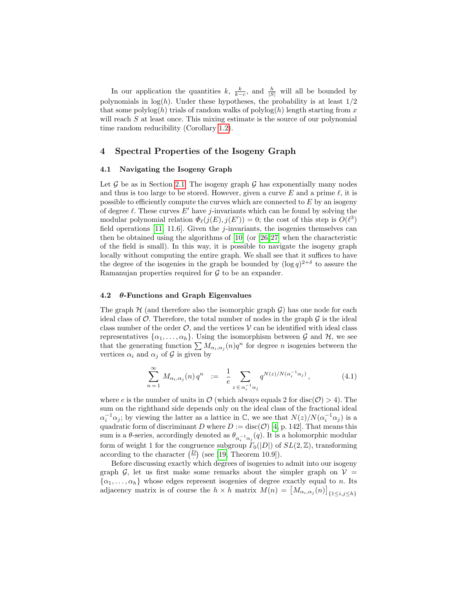In our application the quantities  $k, \frac{k}{k-c}$ , and  $\frac{h}{|S|}$  will all be bounded by polynomials in  $log(h)$ . Under these hypotheses, the probability is at least  $1/2$ that some polylog(h) trials of random walks of polylog(h) length starting from x will reach S at least once. This mixing estimate is the source of our polynomial time random reducibility (Corollary [1.2\)](#page-2-0).

# <span id="page-9-0"></span>4 Spectral Properties of the Isogeny Graph

#### 4.1 Navigating the Isogeny Graph

Let  $\mathcal G$  be as in Section [2.1.](#page-6-0) The isogeny graph  $\mathcal G$  has exponentially many nodes and thus is too large to be stored. However, given a curve  $E$  and a prime  $\ell$ , it is possible to efficiently compute the curves which are connected to  $E$  by an isogeny of degree  $\ell$ . These curves E' have j-invariants which can be found by solving the modular polynomial relation  $\Phi_{\ell}(j(E), j(E')) = 0$ ; the cost of this step is  $O(\ell^3)$ field operations  $[11, 11.6]$  $[11, 11.6]$ . Given the *j*-invariants, the isogenies themselves can then be obtained using the algorithms of  $[10]$  (or  $[26, 27]$  $[26, 27]$  when the characteristic of the field is small). In this way, it is possible to navigate the isogeny graph locally without computing the entire graph. We shall see that it suffices to have the degree of the isogenies in the graph be bounded by  $(\log q)^{2+\delta}$  to assure the Ramanujan properties required for  $\mathcal G$  to be an expander.

#### <span id="page-9-2"></span>4.2  $\theta$ -Functions and Graph Eigenvalues

The graph  $H$  (and therefore also the isomorphic graph  $G$ ) has one node for each ideal class of  $\mathcal O$ . Therefore, the total number of nodes in the graph  $\mathcal G$  is the ideal class number of the order  $\mathcal{O}$ , and the vertices  $\mathcal{V}$  can be identified with ideal class representatives  $\{\alpha_1, \ldots, \alpha_h\}$ . Using the isomorphism between G and H, we see that the generating function  $\sum M_{\alpha_i,\alpha_j}(n)q^n$  for degree n isogenies between the vertices  $\alpha_i$  and  $\alpha_j$  of G is given by

$$
\sum_{n=1}^{\infty} M_{\alpha_i, \alpha_j}(n) q^n \ := \ \frac{1}{e} \sum_{z \in \alpha_i^{-1} \alpha_j} q^{N(z)/N(\alpha_i^{-1} \alpha_j)}, \tag{4.1}
$$

<span id="page-9-1"></span>where e is the number of units in  $\mathcal{O}$  (which always equals 2 for disc( $\mathcal{O}$ ) > 4). The sum on the righthand side depends only on the ideal class of the fractional ideal  $\alpha_i^{-1}\alpha_j$ ; by viewing the latter as a lattice in  $\mathbb{C}$ , we see that  $N(z)/N(\alpha_i^{-1}\alpha_j)$  is a quadratic form of discriminant D where  $D := \text{disc}(\mathcal{O})$  [\[4,](#page-15-1) p. 142]. That means this sum is a  $\theta$ -series, accordingly denoted as  $\theta_{\alpha_i^{-1}\alpha_j}(q)$ . It is a holomorphic modular form of weight 1 for the congruence subgroup  $\Gamma_0(|D|)$  of  $SL(2,\mathbb{Z})$ , transforming according to the character  $\left(\frac{D}{\cdot}\right)$  (see [\[19,](#page-16-15) Theorem 10.9]).

Before discussing exactly which degrees of isogenies to admit into our isogeny graph G, let us first make some remarks about the simpler graph on  $V =$  $\{\alpha_1, \ldots, \alpha_h\}$  whose edges represent isogenies of degree exactly equal to n. Its adjacency matrix is of course the  $h \times h$  matrix  $M(n) = [M_{\alpha_i,\alpha_j}(n)]_{\{1 \le i,j \le h\}}$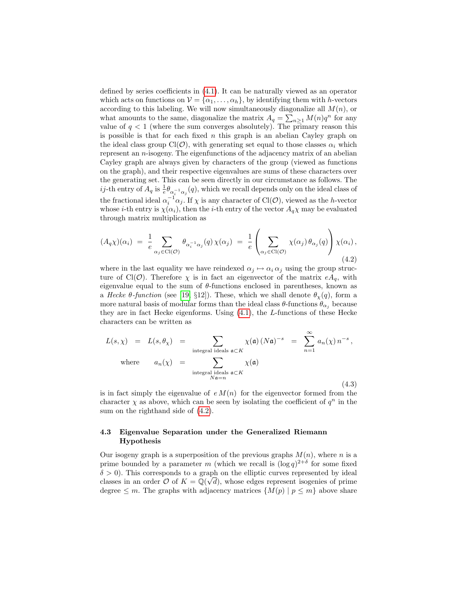defined by series coefficients in [\(4.1\)](#page-9-1). It can be naturally viewed as an operator which acts on functions on  $V = {\alpha_1, \ldots, \alpha_h}$ , by identifying them with h-vectors according to this labeling. We will now simultaneously diagonalize all  $M(n)$ , or what amounts to the same, diagonalize the matrix  $A_q = \sum_{n \geq 1} M(n)q^n$  for any value of  $q < 1$  (where the sum converges absolutely). The primary reason this is possible is that for each fixed  $n$  this graph is an abelian Cayley graph on the ideal class group  $Cl(\mathcal{O})$ , with generating set equal to those classes  $\alpha_i$  which represent an  $n$ -isogeny. The eigenfunctions of the adjacency matrix of an abelian Cayley graph are always given by characters of the group (viewed as functions on the graph), and their respective eigenvalues are sums of these characters over the generating set. This can be seen directly in our circumstance as follows. The *ij*-th entry of  $A_q$  is  $\frac{1}{e} \theta_{\alpha_i^{-1} \alpha_j}(q)$ , which we recall depends only on the ideal class of the fractional ideal  $\alpha_i^{-1}\alpha_j$ . If  $\chi$  is any character of Cl( $\mathcal{O}$ ), viewed as the h-vector whose *i*-th entry is  $\chi(\alpha_i)$ , then the *i*-th entry of the vector  $A_{\alpha} \chi$  may be evaluated through matrix multiplication as

<span id="page-10-0"></span>
$$
(A_q \chi)(\alpha_i) = \frac{1}{e} \sum_{\alpha_j \in \text{Cl}(\mathcal{O})} \theta_{\alpha_i^{-1} \alpha_j}(q) \chi(\alpha_j) = \frac{1}{e} \left( \sum_{\alpha_j \in \text{Cl}(\mathcal{O})} \chi(\alpha_j) \theta_{\alpha_j}(q) \right) \chi(\alpha_i), \tag{4.2}
$$

where in the last equality we have reindexed  $\alpha_i \mapsto \alpha_i \alpha_j$  using the group structure of Cl( $\mathcal{O}$ ). Therefore  $\chi$  is in fact an eigenvector of the matrix  $eA_q$ , with eigenvalue equal to the sum of  $\theta$ -functions enclosed in parentheses, known as a Hecke  $\theta$ -function (see [\[19,](#page-16-15) §12]). These, which we shall denote  $\theta_{\chi}(q)$ , form a more natural basis of modular forms than the ideal class  $\theta$ -functions  $\theta_{\alpha_i}$  because they are in fact Hecke eigenforms. Using [\(4.1\)](#page-9-1), the L-functions of these Hecke characters can be written as

<span id="page-10-1"></span>
$$
L(s,\chi) = L(s,\theta_{\chi}) = \sum_{\substack{\text{integral ideals } \mathfrak{a} \subset K \\ a_n(\chi) = \sum_{\substack{\text{integral ideals } \mathfrak{a} \subset K \\ N\mathfrak{a} = n}} \chi(\mathfrak{a}) \, (N\mathfrak{a})^{-s} = \sum_{n=1}^{\infty} a_n(\chi) \, n^{-s} \,,
$$
\n
$$
\text{where} \quad a_n(\chi) = \sum_{\substack{\text{integral ideals } \mathfrak{a} \subset K \\ N\mathfrak{a} = n}} \chi(\mathfrak{a}) \tag{4.3}
$$

is in fact simply the eigenvalue of  $e M(n)$  for the eigenvector formed from the character  $\chi$  as above, which can be seen by isolating the coefficient of  $q^n$  in the sum on the righthand side of [\(4.2\)](#page-10-0).

## 4.3 Eigenvalue Separation under the Generalized Riemann Hypothesis

Our isogeny graph is a superposition of the previous graphs  $M(n)$ , where n is a prime bounded by a parameter m (which we recall is  $(\log q)^{2+\delta}$  for some fixed  $\delta > 0$ ). This corresponds to a graph on the elliptic curves represented by ideal classes in an order  $\mathcal O$  of  $K = \mathbb Q(\sqrt{d})$ , whose edges represent isogenies of prime degree  $\leq m$ . The graphs with adjacency matrices  $\{M(p) | p \leq m\}$  above share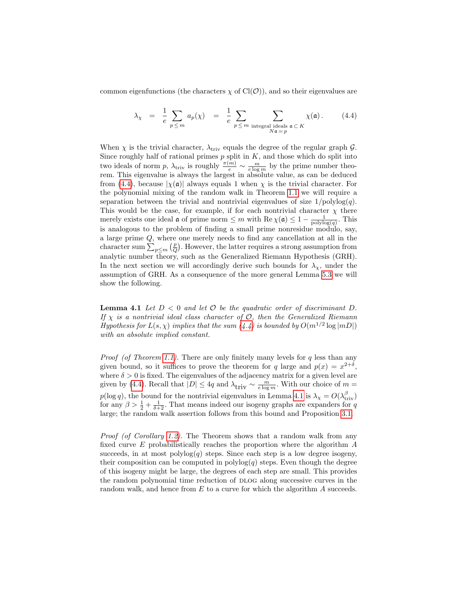<span id="page-11-0"></span>common eigenfunctions (the characters  $\chi$  of Cl( $\mathcal{O}$ )), and so their eigenvalues are

$$
\lambda_{\chi} = \frac{1}{e} \sum_{p \le m} a_p(\chi) = \frac{1}{e} \sum_{p \le m} \sum_{\substack{\text{integral ideals } \mathfrak{a} \subset K \\ N\mathfrak{a} = p}} \chi(\mathfrak{a}). \tag{4.4}
$$

When  $\chi$  is the trivial character,  $\lambda_{\text{triv}}$  equals the degree of the regular graph  $\mathcal{G}$ . Since roughly half of rational primes  $p$  split in  $K$ , and those which do split into two ideals of norm p,  $\lambda_{\text{triv}}$  is roughly  $\frac{\pi(m)}{e} \sim \frac{m}{e \log m}$  by the prime number theorem. This eigenvalue is always the largest in absolute value, as can be deduced from [\(4.4\)](#page-11-0), because  $|\chi(\mathfrak{a})|$  always equals 1 when  $\chi$  is the trivial character. For the polynomial mixing of the random walk in Theorem [1.1](#page-1-1) we will require a separation between the trivial and nontrivial eigenvalues of size  $1/polylog(q)$ . This would be the case, for example, if for each nontrivial character  $\chi$  there merely exists one ideal **a** of prime norm  $\leq m$  with  $\text{Re }\chi(\mathfrak{a}) \leq 1 - \frac{1}{\text{polylog}(q)}$ . This is analogous to the problem of finding a small prime nonresidue modulo, say, a large prime Q, where one merely needs to find any cancellation at all in the character sum  $\sum_{p \le m} \left(\frac{p}{Q}\right)$ . However, the latter requires a strong assumption from analytic number theory, such as the Generalized Riemann Hypothesis (GRH). In the next section we will accordingly derive such bounds for  $\lambda_{\chi}$ , under the assumption of GRH. As a consequence of the more general Lemma [5.3](#page-13-0) we will show the following.

<span id="page-11-1"></span>**Lemma 4.1** Let  $D < 0$  and let  $\mathcal{O}$  be the quadratic order of discriminant  $D$ . If  $\chi$  is a nontrivial ideal class character of  $\mathcal{O}$ , then the Generalized Riemann Hypothesis for  $L(s, \chi)$  implies that the sum  $(4.4)$  is bounded by  $O(m^{1/2} \log |mD|)$ with an absolute implied constant.

*Proof (of Theorem [1.1\)](#page-1-1).* There are only finitely many levels for q less than any given bound, so it suffices to prove the theorem for q large and  $p(x) = x^{2+\delta}$ , where  $\delta > 0$  is fixed. The eigenvalues of the adjacency matrix for a given level are given by [\(4.4\)](#page-11-0). Recall that  $|D| \leq 4q$  and  $\lambda_{\text{triv}} \sim \frac{m}{e \log m}$ . With our choice of  $m =$  $p(\log q)$ , the bound for the nontrivial eigenvalues in Lemma [4.1](#page-11-1) is  $\lambda_{\chi} = O(\lambda_{\text{triv}}^{\beta})$ for any  $\beta > \frac{1}{2} + \frac{1}{\delta+2}$ . That means indeed our isogeny graphs are expanders for q large; the random walk assertion follows from this bound and Proposition [3.1.](#page-8-1)

Proof (of Corollary [1.2\)](#page-2-0). The Theorem shows that a random walk from any fixed curve  $E$  probabilistically reaches the proportion where the algorithm  $A$ succeeds, in at most  $polylog(q)$  steps. Since each step is a low degree isogeny, their composition can be computed in  $\text{polylog}(q)$  steps. Even though the degree of this isogeny might be large, the degrees of each step are small. This provides the random polynomial time reduction of dlog along successive curves in the random walk, and hence from E to a curve for which the algorithm A succeeds.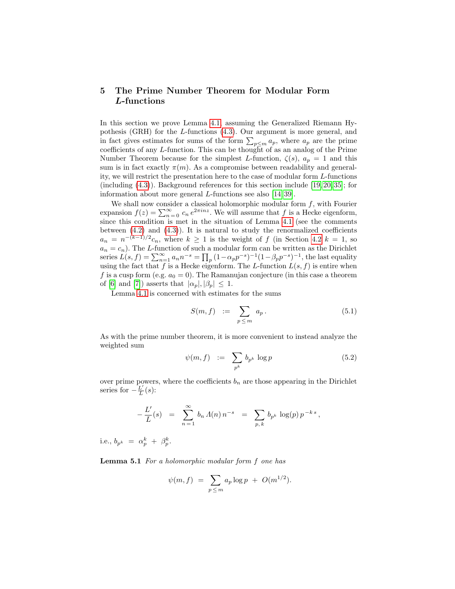# 5 The Prime Number Theorem for Modular Form L-functions

In this section we prove Lemma [4.1,](#page-11-1) assuming the Generalized Riemann Hypothesis (GRH) for the L-functions [\(4.3\)](#page-10-1). Our argument is more general, and in fact gives estimates for sums of the form  $\sum_{p \le m} a_p$ , where  $a_p$  are the prime coefficients of any L-function. This can be thought of as an analog of the Prime Number Theorem because for the simplest L-function,  $\zeta(s)$ ,  $a_p = 1$  and this sum is in fact exactly  $\pi(m)$ . As a compromise between readability and generality, we will restrict the presentation here to the case of modular form L-functions (including  $(4.3)$ ). Background references for this section include [\[19,](#page-16-15) [20,](#page-16-16) [35\]](#page-17-13); for information about more general L-functions see also [\[14,](#page-16-17) [39\]](#page-17-14).

We shall now consider a classical holomorphic modular form  $f$ , with Fourier expansion  $f(z) = \sum_{n=0}^{\infty} c_n e^{2\pi i nz}$ . We will assume that f is a Hecke eigenform, since this condition is met in the situation of Lemma [4.1](#page-11-1) (see the comments between  $(4.2)$  and  $(4.3)$ ). It is natural to study the renormalized coefficients  $a_n = n^{-(k-1)/2}c_n$ , where  $k \ge 1$  is the weight of f (in Section [4.2](#page-9-2)  $k = 1$ , so  $a_n = c_n$ ). The L-function of such a modular form can be written as the Dirichlet series  $\hat{L}(s, f) = \sum_{n=1}^{\infty} a_n n^{-s} = \prod_p (1 - \alpha_p p^{-s})^{-1} (1 - \beta_p p^{-s})^{-1}$ , the last equality using the fact that f is a Hecke eigenform. The L-function  $L(s, f)$  is entire when f is a cusp form (e.g.  $a_0 = 0$ ). The Ramanujan conjecture (in this case a theorem of [\[6\]](#page-15-5) and [\[7\]](#page-15-6)) asserts that  $|\alpha_p|, |\beta_p| \leq 1$ .

Lemma [4.1](#page-11-1) is concerned with estimates for the sums

<span id="page-12-0"></span>
$$
S(m, f) := \sum_{p \le m} a_p. \tag{5.1}
$$

As with the prime number theorem, it is more convenient to instead analyze the weighted sum

$$
\psi(m, f) \quad := \quad \sum_{p^k} b_{p^k} \, \log p \tag{5.2}
$$

over prime powers, where the coefficients  $b_n$  are those appearing in the Dirichlet series for  $-\frac{L'}{L}$  $\frac{L'}{L}(s)$ :

$$
- \frac{L'}{L}(s) = \sum_{n=1}^{\infty} b_n \Lambda(n) n^{-s} = \sum_{p,k} b_{p^k} \log(p) p^{-k s},
$$

i.e.,  $b_{p^k} = \alpha_p^k + \beta_p^k$ .

Lemma 5.1 For a holomorphic modular form f one has

$$
\psi(m, f) = \sum_{p \le m} a_p \log p + O(m^{1/2}).
$$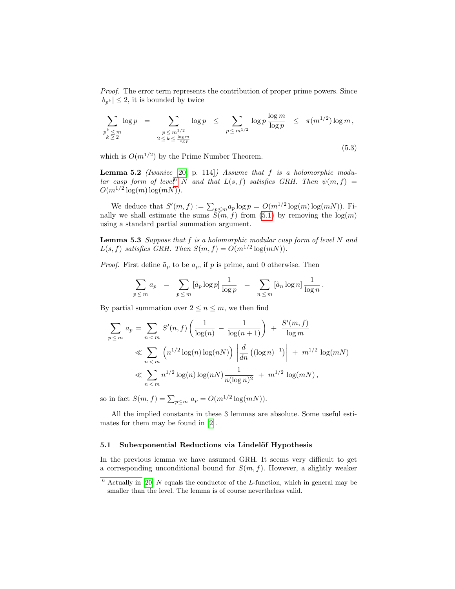Proof. The error term represents the contribution of proper prime powers. Since  $|b_{p^k}| \leq 2$ , it is bounded by twice

$$
\sum_{\substack{p^k \le m \\ k \ge 2}} \log p = \sum_{\substack{p \le m^{1/2} \\ 2 \le k \le \frac{\log m}{\log p} \\ 2 \le k \le \frac{\log m}{\log p}}} \log p \le \sum_{p \le m^{1/2}} \log p \frac{\log m}{\log p} \le \pi (m^{1/2}) \log m,
$$
\n(5.3)

which is  $O(m^{1/2})$  by the Prime Number Theorem.

Lemma 5.2 (Iwaniec [\[20,](#page-16-16) p. 114]) Assume that  $f$  is a holomorphic modu-lar cusp form of level<sup>[6](#page-13-1)</sup> N and that  $L(s, f)$  satisfies GRH. Then  $\psi(m, f)$  =  $O(m^{1/2} \log(m) \log(mN)).$ 

We deduce that  $S'(m, f) := \sum_{p \le m} a_p \log p = O(m^{1/2} \log(m) \log(mN))$ . Finally we shall estimate the sums  $S(m, f)$  from [\(5.1\)](#page-12-0) by removing the  $log(m)$ using a standard partial summation argument.

<span id="page-13-0"></span>**Lemma 5.3** Suppose that  $f$  is a holomorphic modular cusp form of level  $N$  and  $L(s, f)$  satisfies GRH. Then  $S(m, f) = O(m^{1/2} \log(mN)).$ 

*Proof.* First define  $\tilde{a}_p$  to be  $a_p$ , if p is prime, and 0 otherwise. Then

$$
\sum_{p\,\leq\,m} a_p \quad = \quad \sum_{p\,\leq\,m} \left[\tilde{a}_p \log p\right] \frac{1}{\log p} \quad = \quad \sum_{n\,\leq\,m} \left[\tilde{a}_n \log n\right] \frac{1}{\log n} \,.
$$

By partial summation over  $2 \leq n \leq m$ , we then find

$$
\sum_{p \le m} a_p = \sum_{n < m} S'(n, f) \left( \frac{1}{\log(n)} - \frac{1}{\log(n+1)} \right) + \frac{S'(m, f)}{\log m}
$$
\n
$$
\ll \sum_{n < m} \left( n^{1/2} \log(n) \log(nN) \right) \left| \frac{d}{dn} \left( (\log n)^{-1} \right) \right| + m^{1/2} \log(mN)
$$
\n
$$
\ll \sum_{n < m} n^{1/2} \log(n) \log(nN) \frac{1}{n(\log n)^2} + m^{1/2} \log(mN),
$$

so in fact  $S(m, f) = \sum_{p \le m} a_p = O(m^{1/2} \log(mN)).$ 

All the implied constants in these 3 lemmas are absolute. Some useful estimates for them may be found in [\[2\]](#page-15-7).

#### 5.1 Subexponential Reductions via Lindelöf Hypothesis

In the previous lemma we have assumed GRH. It seems very difficult to get a corresponding unconditional bound for  $S(m, f)$ . However, a slightly weaker

<span id="page-13-1"></span> $6$  Actually in [\[20\]](#page-16-16) N equals the conductor of the L-function, which in general may be smaller than the level. The lemma is of course nevertheless valid.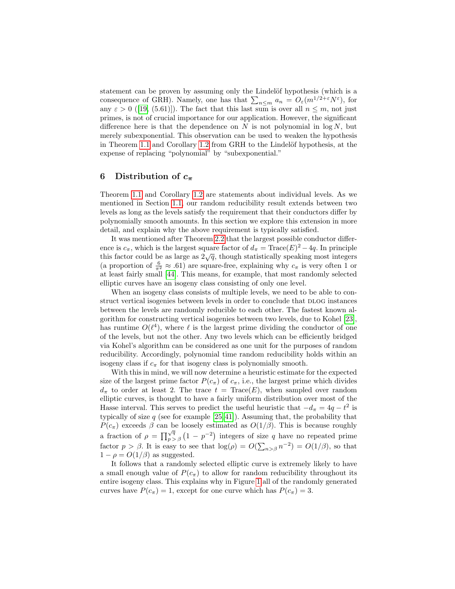statement can be proven by assuming only the Lindelöf hypothesis (which is a consequence of GRH). Namely, one has that  $\sum_{n\leq m} a_n = O_{\varepsilon}(m^{1/2+\varepsilon}N^{\varepsilon})$ , for any  $\varepsilon > 0$  ([\[19,](#page-16-15) (5.61)]). The fact that this last sum is over all  $n \leq m$ , not just primes, is not of crucial importance for our application. However, the significant difference here is that the dependence on  $N$  is not polynomial in  $\log N$ , but merely subexponential. This observation can be used to weaken the hypothesis in Theorem [1.1](#page-1-1) and Corollary [1.2](#page-2-0) from GRH to the Lindelöf hypothesis, at the expense of replacing "polynomial" by "subexponential."

## <span id="page-14-0"></span>6 Distribution of  $c_{\pi}$

Theorem [1.1](#page-1-1) and Corollary [1.2](#page-2-0) are statements about individual levels. As we mentioned in Section [1.1,](#page-1-0) our random reducibility result extends between two levels as long as the levels satisfy the requirement that their conductors differ by polynomially smooth amounts. In this section we explore this extension in more detail, and explain why the above requirement is typically satisfied.

It was mentioned after Theorem [2.2](#page-5-0) that the largest possible conductor difference is  $c_{\pi}$ , which is the largest square factor of  $d_{\pi} = \text{Trace}(E)^2 - 4q$ . In principle this factor could be as large as  $2\sqrt{q}$ , though statistically speaking most integers (a proportion of  $\frac{6}{\pi^2} \approx .61$ ) are square-free, explaining why  $c_{\pi}$  is very often 1 or at least fairly small [\[44\]](#page-17-15). This means, for example, that most randomly selected elliptic curves have an isogeny class consisting of only one level.

When an isogeny class consists of multiple levels, we need to be able to construct vertical isogenies between levels in order to conclude that DLOG instances between the levels are randomly reducible to each other. The fastest known algorithm for constructing vertical isogenies between two levels, due to Kohel [\[23\]](#page-16-1), has runtime  $O(\ell^4)$ , where  $\ell$  is the largest prime dividing the conductor of one of the levels, but not the other. Any two levels which can be efficiently bridged via Kohel's algorithm can be considered as one unit for the purposes of random reducibility. Accordingly, polynomial time random reducibility holds within an isogeny class if  $c_{\pi}$  for that isogeny class is polynomially smooth.

With this in mind, we will now determine a heuristic estimate for the expected size of the largest prime factor  $P(c_{\pi})$  of  $c_{\pi}$ , i.e., the largest prime which divides  $d_{\pi}$  to order at least 2. The trace  $t = \text{Trace}(E)$ , when sampled over random elliptic curves, is thought to have a fairly uniform distribution over most of the Hasse interval. This serves to predict the useful heuristic that  $-d_{\pi} = 4q - t^2$  is typically of size  $q$  (see for example [\[25,](#page-16-18)41]). Assuming that, the probability that  $P(c_{\pi})$  exceeds  $\beta$  can be loosely estimated as  $O(1/\beta)$ . This is because roughly a fraction of  $\rho = \prod_{p > \beta}^{\sqrt{q}} (1 - p^{-2})$  integers of size q have no repeated prime factor  $p > \beta$ . It is easy to see that  $\log(\rho) = O(\sum_{n > \beta} n^{-2}) = O(1/\beta)$ , so that  $1 - \rho = O(1/\beta)$  as suggested.

It follows that a randomly selected elliptic curve is extremely likely to have a small enough value of  $P(c_{\pi})$  to allow for random reducibility throughout its entire isogeny class. This explains why in Figure [1](#page-3-0) all of the randomly generated curves have  $P(c_{\pi}) = 1$ , except for one curve which has  $P(c_{\pi}) = 3$ .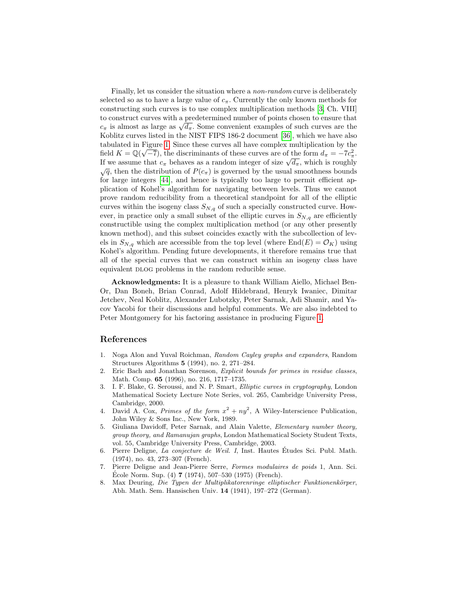Finally, let us consider the situation where a non-random curve is deliberately selected so as to have a large value of  $c_{\pi}$ . Currently the only known methods for constructing such curves is to use complex multiplication methods [\[3,](#page-15-0) Ch. VIII] to construct curves with a predetermined number of points chosen to ensure that to construct curves with a predetermined number of points chosen to ensure that  $c_{\pi}$  is almost as large as  $\sqrt{d_{\pi}}$ . Some convenient examples of such curves are the Koblitz curves listed in the NIST FIPS 186-2 document [\[36\]](#page-17-4), which we have also tabulated in Figure [1.](#page-3-0) Since these curves all have complex multiplication by the  $\frac{2}{3}$ field  $K = \mathbb{Q}(\sqrt{-7})$ , the discriminants of these curves are of the form  $d_{\pi} = -7c_{\pi}^2$ . neightarrow  $\Lambda = \mathbb{Q}(\sqrt{-t})$ , the discriminants of these curves are of the form  $a_{\pi} = -t c_{\pi}$ .<br>If we assume that  $c_{\pi}$  behaves as a random integer of size  $\sqrt{d_{\pi}}$ , which is roughly  $\sqrt{q}$ , then the distribution of  $P(c_{\pi})$  is governed by the usual smoothness bounds for large integers [\[44\]](#page-17-15), and hence is typically too large to permit efficient application of Kohel's algorithm for navigating between levels. Thus we cannot prove random reducibility from a theoretical standpoint for all of the elliptic curves within the isogeny class  $S_{N,q}$  of such a specially constructed curve. However, in practice only a small subset of the elliptic curves in  $S_{N,q}$  are efficiently constructible using the complex multiplication method (or any other presently known method), and this subset coincides exactly with the subcollection of levels in  $S_{N,q}$  which are accessible from the top level (where  $\text{End}(E) = \mathcal{O}_K$ ) using Kohel's algorithm. Pending future developments, it therefore remains true that all of the special curves that we can construct within an isogeny class have equivalent DLOG problems in the random reducible sense.

Acknowledgments: It is a pleasure to thank William Aiello, Michael Ben-Or, Dan Boneh, Brian Conrad, Adolf Hildebrand, Henryk Iwaniec, Dimitar Jetchev, Neal Koblitz, Alexander Lubotzky, Peter Sarnak, Adi Shamir, and Yacov Yacobi for their discussions and helpful comments. We are also indebted to Peter Montgomery for his factoring assistance in producing Figure [1.](#page-3-0)

## References

- <span id="page-15-3"></span>1. Noga Alon and Yuval Roichman, Random Cayley graphs and expanders, Random Structures Algorithms 5 (1994), no. 2, 271–284.
- <span id="page-15-7"></span>2. Eric Bach and Jonathan Sorenson, Explicit bounds for primes in residue classes, Math. Comp. 65 (1996), no. 216, 1717–1735.
- <span id="page-15-0"></span>3. I. F. Blake, G. Seroussi, and N. P. Smart, Elliptic curves in cryptography, London Mathematical Society Lecture Note Series, vol. 265, Cambridge University Press, Cambridge, 2000.
- <span id="page-15-1"></span>4. David A. Cox, Primes of the form  $x^2 + ny^2$ , A Wiley-Interscience Publication, John Wiley & Sons Inc., New York, 1989.
- <span id="page-15-4"></span>5. Giuliana Davidoff, Peter Sarnak, and Alain Valette, Elementary number theory, group theory, and Ramanujan graphs, London Mathematical Society Student Texts, vol. 55, Cambridge University Press, Cambridge, 2003.
- <span id="page-15-5"></span>6. Pierre Deligne, La conjecture de Weil. I, Inst. Hautes Etudes Sci. Publ. Math. ´ (1974), no. 43, 273–307 (French).
- <span id="page-15-6"></span>7. Pierre Deligne and Jean-Pierre Serre, Formes modulaires de poids 1, Ann. Sci. École Norm. Sup.  $(4)$  **7** (1974), 507–530 (1975) (French).
- <span id="page-15-2"></span>8. Max Deuring, Die Typen der Multiplikatorenringe elliptischer Funktionenkörper, Abh. Math. Sem. Hansischen Univ. 14 (1941), 197–272 (German).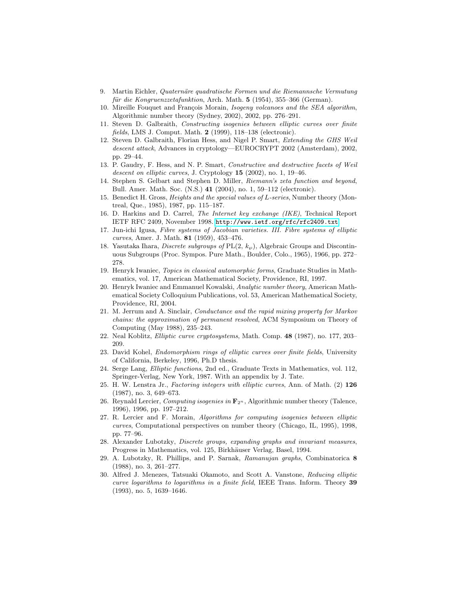- <span id="page-16-20"></span>9. Martin Eichler, Quaternäre quadratische Formen und die Riemannsche Vermutung für die Kongruenzzetafunktion, Arch. Math.  $5$  (1954), 355–366 (German).
- <span id="page-16-2"></span>10. Mireille Fouquet and François Morain, Isogeny volcanoes and the SEA algorithm, Algorithmic number theory (Sydney, 2002), 2002, pp. 276–291.
- <span id="page-16-3"></span>11. Steven D. Galbraith, Constructing isogenies between elliptic curves over finite fields, LMS J. Comput. Math. 2 (1999), 118–138 (electronic).
- <span id="page-16-5"></span>12. Steven D. Galbraith, Florian Hess, and Nigel P. Smart, Extending the GHS Weil descent attack, Advances in cryptology—EUROCRYPT 2002 (Amsterdam), 2002, pp. 29–44.
- <span id="page-16-6"></span>13. P. Gaudry, F. Hess, and N. P. Smart, Constructive and destructive facets of Weil descent on elliptic curves, J. Cryptology 15 (2002), no. 1, 19–46.
- <span id="page-16-17"></span>14. Stephen S. Gelbart and Stephen D. Miller, Riemann's zeta function and beyond, Bull. Amer. Math. Soc. (N.S.) 41 (2004), no. 1, 59–112 (electronic).
- <span id="page-16-9"></span>15. Benedict H. Gross, Heights and the special values of L-series, Number theory (Montreal, Que., 1985), 1987, pp. 115–187.
- <span id="page-16-4"></span>16. D. Harkins and D. Carrel, The Internet key exchange (IKE), Technical Report IETF RFC 2409, November 1998. <http://www.ietf.org/rfc/rfc2409.txt>.
- <span id="page-16-21"></span>17. Jun-ichi Igusa, Fibre systems of Jacobian varieties. III. Fibre systems of elliptic curves, Amer. J. Math. 81 (1959), 453–476.
- <span id="page-16-19"></span>18. Yasutaka Ihara, *Discrete subgroups of*  $PL(2, k_{\varphi})$ , Algebraic Groups and Discontinuous Subgroups (Proc. Sympos. Pure Math., Boulder, Colo., 1965), 1966, pp. 272– 278.
- <span id="page-16-15"></span>19. Henryk Iwaniec, Topics in classical automorphic forms, Graduate Studies in Mathematics, vol. 17, American Mathematical Society, Providence, RI, 1997.
- <span id="page-16-16"></span>20. Henryk Iwaniec and Emmanuel Kowalski, Analytic number theory, American Mathematical Society Colloquium Publications, vol. 53, American Mathematical Society, Providence, RI, 2004.
- <span id="page-16-8"></span>21. M. Jerrum and A. Sinclair, Conductance and the rapid mixing property for Markov chains: the approximation of permanent resolved, ACM Symposium on Theory of Computing (May 1988), 235–243.
- <span id="page-16-0"></span>22. Neal Koblitz, Elliptic curve cryptosystems, Math. Comp. 48 (1987), no. 177, 203– 209.
- <span id="page-16-1"></span>23. David Kohel, Endomorphism rings of elliptic curves over finite fields, University of California, Berkeley, 1996, Ph.D thesis.
- <span id="page-16-10"></span>24. Serge Lang, Elliptic functions, 2nd ed., Graduate Texts in Mathematics, vol. 112, Springer-Verlag, New York, 1987. With an appendix by J. Tate.
- <span id="page-16-18"></span>25. H. W. Lenstra Jr., Factoring integers with elliptic curves, Ann. of Math. (2) 126 (1987), no. 3, 649–673.
- <span id="page-16-13"></span>26. Reynald Lercier, Computing isogenies in  $\mathbf{F}_{2^n}$ , Algorithmic number theory (Talence, 1996), 1996, pp. 197–212.
- <span id="page-16-14"></span>27. R. Lercier and F. Morain, Algorithms for computing isogenies between elliptic curves, Computational perspectives on number theory (Chicago, IL, 1995), 1998, pp. 77–96.
- <span id="page-16-12"></span>28. Alexander Lubotzky, Discrete groups, expanding graphs and invariant measures, Progress in Mathematics, vol. 125, Birkhäuser Verlag, Basel, 1994.
- <span id="page-16-11"></span>29. A. Lubotzky, R. Phillips, and P. Sarnak, Ramanujan graphs, Combinatorica 8 (1988), no. 3, 261–277.
- <span id="page-16-7"></span>30. Alfred J. Menezes, Tatsuaki Okamoto, and Scott A. Vanstone, Reducing elliptic curve logarithms to logarithms in a finite field, IEEE Trans. Inform. Theory 39 (1993), no. 5, 1639–1646.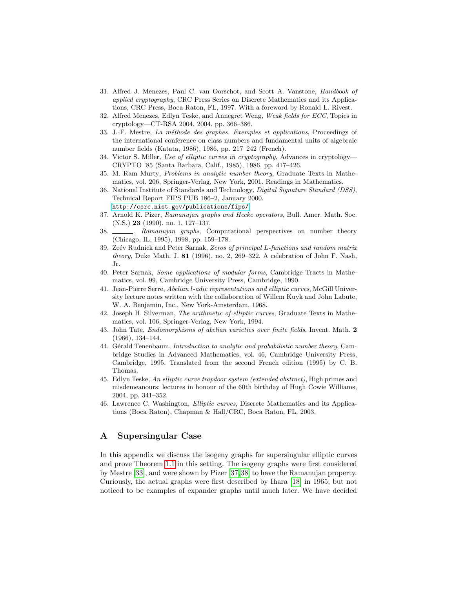- <span id="page-17-1"></span>31. Alfred J. Menezes, Paul C. van Oorschot, and Scott A. Vanstone, Handbook of applied cryptography, CRC Press Series on Discrete Mathematics and its Applications, CRC Press, Boca Raton, FL, 1997. With a foreword by Ronald L. Rivest.
- <span id="page-17-5"></span>32. Alfred Menezes, Edlyn Teske, and Annegret Weng, Weak fields for ECC, Topics in cryptology—CT-RSA 2004, 2004, pp. 366–386.
- <span id="page-17-3"></span>33. J.-F. Mestre, La méthode des graphes. Exemples et applications, Proceedings of the international conference on class numbers and fundamental units of algebraic number fields (Katata, 1986), 1986, pp. 217–242 (French).
- <span id="page-17-0"></span>34. Victor S. Miller, Use of elliptic curves in cryptography, Advances in cryptology— CRYPTO '85 (Santa Barbara, Calif., 1985), 1986, pp. 417–426.
- <span id="page-17-13"></span>35. M. Ram Murty, Problems in analytic number theory, Graduate Texts in Mathematics, vol. 206, Springer-Verlag, New York, 2001. Readings in Mathematics.
- <span id="page-17-4"></span>36. National Institute of Standards and Technology, Digital Signature Standard (DSS), Technical Report FIPS PUB 186–2, January 2000.

<http://csrc.nist.gov/publications/fips/>.

- <span id="page-17-9"></span>37. Arnold K. Pizer, Ramanujan graphs and Hecke operators, Bull. Amer. Math. Soc. (N.S.) 23 (1990), no. 1, 127–137.
- <span id="page-17-10"></span>38. *Ramanujan graphs*, Computational perspectives on number theory (Chicago, IL, 1995), 1998, pp. 159–178.
- <span id="page-17-14"></span>39. Zeev Rudnick and Peter Sarnak, Zeros of principal L-functions and random matrix theory, Duke Math. J. 81 (1996), no. 2, 269–322. A celebration of John F. Nash, Jr.
- <span id="page-17-12"></span>40. Peter Sarnak, Some applications of modular forms, Cambridge Tracts in Mathematics, vol. 99, Cambridge University Press, Cambridge, 1990.
- <span id="page-17-16"></span>41. Jean-Pierre Serre, Abelian l-adic representations and elliptic curves, McGill University lecture notes written with the collaboration of Willem Kuyk and John Labute, W. A. Benjamin, Inc., New York-Amsterdam, 1968.
- <span id="page-17-7"></span>42. Joseph H. Silverman, The arithmetic of elliptic curves, Graduate Texts in Mathematics, vol. 106, Springer-Verlag, New York, 1994.
- <span id="page-17-8"></span>43. John Tate, Endomorphisms of abelian varieties over finite fields, Invent. Math. 2 (1966), 134–144.
- <span id="page-17-15"></span>44. Gérald Tenenbaum, Introduction to analytic and probabilistic number theory, Cambridge Studies in Advanced Mathematics, vol. 46, Cambridge University Press, Cambridge, 1995. Translated from the second French edition (1995) by C. B. Thomas.
- <span id="page-17-6"></span>45. Edlyn Teske, An elliptic curve trapdoor system (extended abstract), High primes and misdemeanours: lectures in honour of the 60th birthday of Hugh Cowie Williams, 2004, pp. 341–352.
- <span id="page-17-2"></span>46. Lawrence C. Washington, Elliptic curves, Discrete Mathematics and its Applications (Boca Raton), Chapman & Hall/CRC, Boca Raton, FL, 2003.

# <span id="page-17-11"></span>A Supersingular Case

In this appendix we discuss the isogeny graphs for supersingular elliptic curves and prove Theorem [1.1](#page-1-1) in this setting. The isogeny graphs were first considered by Mestre [\[33\]](#page-17-3), and were shown by Pizer [\[37,](#page-17-9)[38\]](#page-17-10) to have the Ramanujan property. Curiously, the actual graphs were first described by Ihara [\[18\]](#page-16-19) in 1965, but not noticed to be examples of expander graphs until much later. We have decided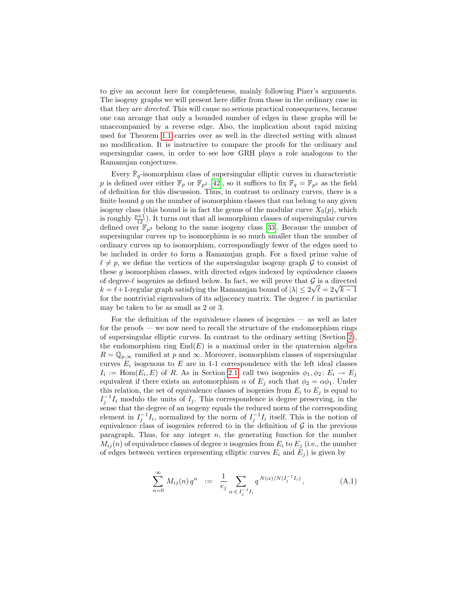to give an account here for completeness, mainly following Pizer's arguments. The isogeny graphs we will present here differ from those in the ordinary case in that they are directed. This will cause no serious practical consequences, because one can arrange that only a bounded number of edges in these graphs will be unaccompanied by a reverse edge. Also, the implication about rapid mixing used for Theorem [1.1](#page-1-1) carries over as well in the directed setting with almost no modification. It is instructive to compare the proofs for the ordinary and supersingular cases, in order to see how GRH plays a role analogous to the Ramanujan conjectures.

Every  $\bar{\mathbb{F}}_q$ -isomorphism class of supersingular elliptic curves in characteristic p is defined over either  $\mathbb{F}_p$  or  $\mathbb{F}_{p^2}$  [\[42\]](#page-17-7), so it suffices to fix  $\mathbb{F}_q = \mathbb{F}_{p^2}$  as the field of definition for this discussion. Thus, in contrast to ordinary curves, there is a finite bound  $g$  on the number of isomorphism classes that can belong to any given isogeny class (this bound is in fact the genus of the modular curve  $X_0(p)$ , which is roughly  $\frac{p+1}{12}$ ). It turns out that all isomorphism classes of supersingular curves defined over  $\mathbb{F}_{p^2}$  belong to the same isogeny class [\[33\]](#page-17-3). Because the number of supersingular curves up to isomorphism is so much smaller than the number of ordinary curves up to isomorphism, correspondingly fewer of the edges need to be included in order to form a Ramanujan graph. For a fixed prime value of  $\ell \neq p$ , we define the vertices of the supersingular isogeny graph G to consist of these  $g$  isomorphism classes, with directed edges indexed by equivalence classes of degree- $\ell$  isogenies as defined below. In fact, we will prove that  $\mathcal{G}$  is a directed or degree-t isogenies as denied below. In fact, we will prove that  $\mathcal{G}$  is a directed  $k = \ell + 1$ -regular graph satisfying the Ramanujan bound of  $|\lambda| \leq 2\sqrt{\ell} = 2\sqrt{k-1}$ for the nontrivial eigenvalues of its adjacency matrix. The degree  $\ell$  in particular may be taken to be as small as 2 or 3.

For the definition of the equivalence classes of isogenies — as well as later for the proofs — we now need to recall the structure of the endomorphism rings of supersingular elliptic curves. In contrast to the ordinary setting (Section [2\)](#page-3-1), the endomorphism ring  $End(E)$  is a maximal order in the quaternion algebra  $R = \mathbb{Q}_{p,\infty}$  ramified at p and  $\infty$ . Moreover, isomorphism classes of supersingular curves  $E_i$  isogenous to E are in 1-1 correspondence with the left ideal classes  $I_i := \text{Hom}(E_i, E)$  of R. As in Section [2.1,](#page-6-0) call two isogenies  $\phi_1, \phi_2 : E_i \to E_j$ equivalent if there exists an automorphism  $\alpha$  of  $E_i$  such that  $\phi_2 = \alpha \phi_1$ . Under this relation, the set of equivalence classes of isogenies from  $E_i$  to  $E_j$  is equal to  $I_j^{-1}I_i$  modulo the units of  $I_j$ . This correspondence is degree preserving, in the sense that the degree of an isogeny equals the reduced norm of the corresponding element in  $I_j^{-1}I_i$ , normalized by the norm of  $I_j^{-1}I_i$  itself. This is the notion of equivalence class of isogenies referred to in the definition of  $\mathcal G$  in the previous paragraph. Thus, for any integer  $n$ , the generating function for the number  $M_{ii}(n)$  of equivalence classes of degree n isogenies from  $E_i$  to  $E_j$  (i.e., the number of edges between vertices representing elliptic curves  $E_i$  and  $E_j$ ) is given by

<span id="page-18-0"></span>
$$
\sum_{n=0}^{\infty} M_{ij}(n) q^n \ := \ \frac{1}{e_j} \sum_{\alpha \in I_j^{-1} I_i} q^{N(\alpha)/N(I_j^{-1} I_i)}, \tag{A.1}
$$